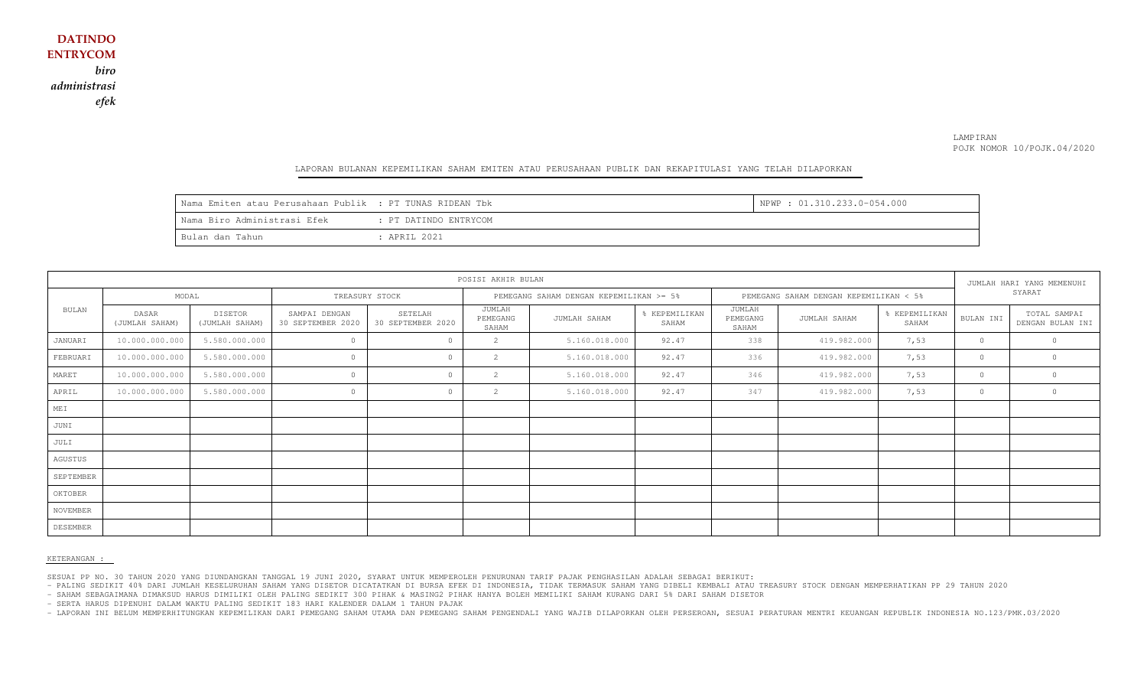### LAMPIRAN POJK NOMOR 10/POJK.04/2020

#### LAPORAN BULANAN KEPEMILIKAN SAHAM EMITEN ATAU PERUSAHAAN PUBLIK DAN REKAPITULASI YANG TELAH DILAPORKAN

| Nama Emiten atau Perusahaan Publik : PT TUNAS RIDEAN Tbk |                       | NPWP: 01.310.233.0-054.000 |
|----------------------------------------------------------|-----------------------|----------------------------|
| Wama Biro Administrasi Efek                              | : PT DATINDO ENTRYCOM |                            |
| Bulan dan Tahun                                          | : APRIL 2021          |                            |

| POSISI AKHIR BULAN |                         |                           |                                    |                              |                                         |               |                                        |                             |              | JUMLAH HARI YANG MEMENUHI |           |                                  |
|--------------------|-------------------------|---------------------------|------------------------------------|------------------------------|-----------------------------------------|---------------|----------------------------------------|-----------------------------|--------------|---------------------------|-----------|----------------------------------|
|                    | MODAL                   |                           | TREASURY STOCK                     |                              | PEMEGANG SAHAM DENGAN KEPEMILIKAN >= 5% |               | PEMEGANG SAHAM DENGAN KEPEMILIKAN < 5% |                             |              | SYARAT                    |           |                                  |
| BULAN              | DASAR<br>(JUMLAH SAHAM) | DISETOR<br>(JUMLAH SAHAM) | SAMPAI DENGAN<br>30 SEPTEMBER 2020 | SETELAH<br>30 SEPTEMBER 2020 | JUMLAH<br>PEMEGANG<br>SAHAM             | JUMLAH SAHAM  | % KEPEMILIKAN<br>SAHAM                 | JUMLAH<br>PEMEGANG<br>SAHAM | JUMLAH SAHAM | % KEPEMILIKAN<br>SAHAM    | BULAN INI | TOTAL SAMPAI<br>DENGAN BULAN INI |
| JANUARI            | 10.000.000.000          | 5.580.000.000             | $\circ$                            | $\circ$                      | $\overline{2}$                          | 5.160.018.000 | 92.47                                  | 338                         | 419.982.000  | 7,53                      | $\circ$   |                                  |
| FEBRUARI           | 10.000.000.000          | 5.580.000.000             | $\Omega$                           | $\Omega$                     | $\mathbf{2}$                            | 5.160.018.000 | 92.47                                  | 336                         | 419.982.000  | 7,53                      | $\circ$   |                                  |
| MARET              | 10.000.000.000          | 5.580.000.000             | $\Omega$                           | $\cap$                       | 2                                       | 5.160.018.000 | 92.47                                  | 346                         | 419.982.000  | 7,53                      | $\circ$   |                                  |
| APRIL              | 10.000.000.000          | 5.580.000.000             | $\circ$                            | $\circ$                      | $\overline{2}$                          | 5.160.018.000 | 92.47                                  | 347                         | 419.982.000  | 7,53                      | $\circ$   | $\circ$                          |
| MEI                |                         |                           |                                    |                              |                                         |               |                                        |                             |              |                           |           |                                  |
| JUNI               |                         |                           |                                    |                              |                                         |               |                                        |                             |              |                           |           |                                  |
| JULI               |                         |                           |                                    |                              |                                         |               |                                        |                             |              |                           |           |                                  |
| AGUSTUS            |                         |                           |                                    |                              |                                         |               |                                        |                             |              |                           |           |                                  |
| SEPTEMBER          |                         |                           |                                    |                              |                                         |               |                                        |                             |              |                           |           |                                  |
| OKTOBER            |                         |                           |                                    |                              |                                         |               |                                        |                             |              |                           |           |                                  |
| NOVEMBER           |                         |                           |                                    |                              |                                         |               |                                        |                             |              |                           |           |                                  |
| DESEMBER           |                         |                           |                                    |                              |                                         |               |                                        |                             |              |                           |           |                                  |

#### KETERANGAN :

SESUAI PP NO. 30 TAHUN 2020 YANG DIUNDANGKAN TANGGAL 19 JUNI 2020, SYARAT UNTUK MEMPEROLEH PENURUNAN TARIF PAJAK PENGHASILAN ADALAH SEBAGAI BERIKUT:

- PALING SEDIKIT 40% DARI JUMLAH KESELURUHAN SAHAM YANG DISETOR DICATATKAN DI BURSA EFEK DI INDONESIA, TIDAK TERMASUK SAHAM YANG DIBELI KEMBALI ATAU TREASURY STOCK DENGAN MEMPERHATIKAN PP 29 TAHUN 2020

- SAHAM SEBAGAIMANA DIMAKSUD HARUS DIMILIKI OLEH PALING SEDIKIT 300 PIHAK & MASING2 PIHAK HANYA BOLEH MEMILIKI SAHAM KURANG DARI 5% DARI SAHAM DISETOR

- SERTA HARUS DIPENUHI DALAM WAKTU PALING SEDIKIT 183 HARI KALENDER DALAM 1 TAHUN PAJAK

- LAPORAN INI BELUM MEMPERHITUNGKAN KEPEMILIKAN DARI PEMEGANG SAHAM UTAMA DAN PEMEGANG SAHAM PENGENDALI YANG WAJIB DILAPORKAN OLEH PERSEROAN, SESUAI PERATURAN MENTRI KEUANGAN REPUBLIK INDONESIA NO.123/PMK.03/2020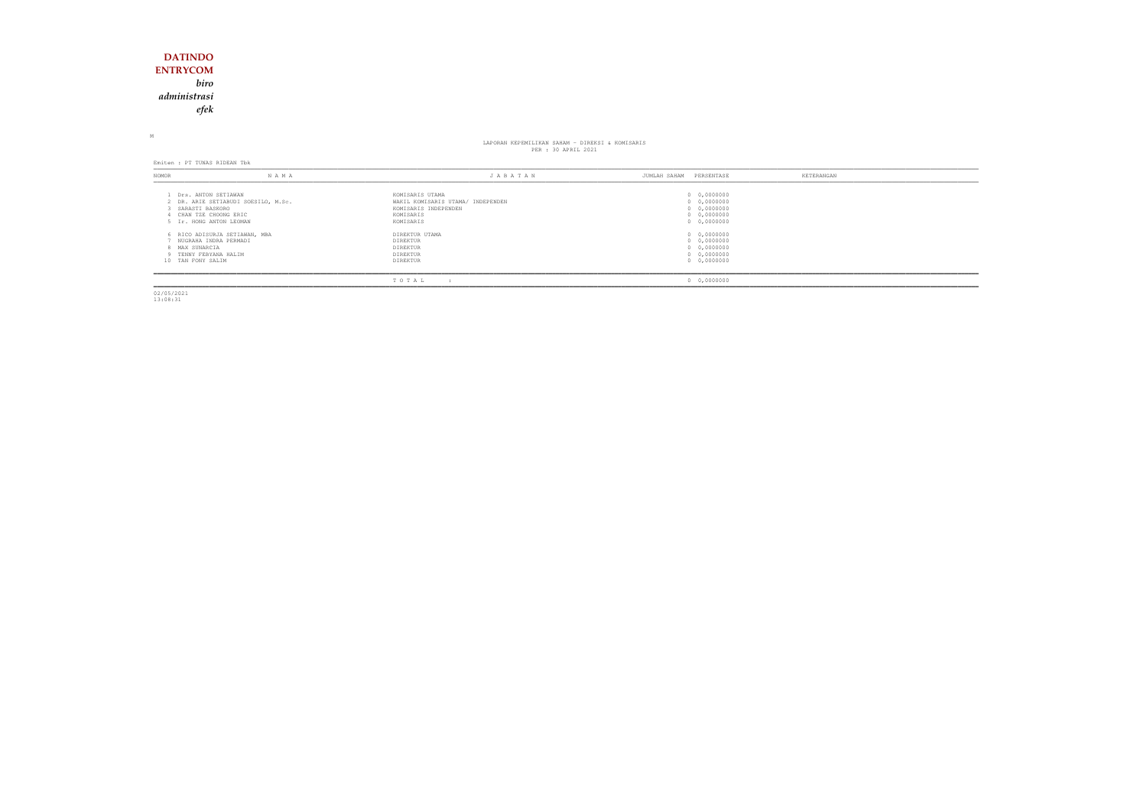## **DATINDO ENTRYCOM** *biro administrasiefek*

M

# LAPORAN KEPEMILIKAN SAHAM - DIREKSI & KOMISARIS<br>PER : 30 APRIL 2021

Emiten : PT TUNAS RIDEAN Tbk

| NOMOR                               | N A M A                                                                                                                          | JABATAN                                                                                                | PERSENTASE<br>JUMLAH SAHAM                                              | KETERANGAN |
|-------------------------------------|----------------------------------------------------------------------------------------------------------------------------------|--------------------------------------------------------------------------------------------------------|-------------------------------------------------------------------------|------------|
|                                     | Drs. ANTON SETIAWAN<br>2 DR. ARIE SETIABUDI SOESILO, M.Sc.<br>SARASTI BASKORO<br>CHAN TZE CHOONG ERIC<br>5 Ir. HONG ANTON LEOMAN | KOMISARIS UTAMA<br>WAKIL KOMISARIS UTAMA/ INDEPENDEN<br>KOMISARIS INDEPENDEN<br>KOMISARIS<br>KOMISARIS | 0 0,0000000<br>0 0,0000000<br>0 0,0000000<br>0 0,0000000<br>0 0,0000000 |            |
| 8 MAX SUNARCIA<br>10 TAN FONY SALIM | 6 RICO ADISURJA SETIAWAN, MBA<br>NUGRAHA INDRA PERMADI<br>9 TENNY FEBYANA HALIM                                                  | DIREKTUR UTAMA<br>DIREKTUR<br>DIREKTUR<br>DIREKTUR<br>DIREKTUR                                         | 0 0,0000000<br>0 0,0000000<br>0 0,0000000<br>0 0,0000000<br>0 0,0000000 |            |
|                                     |                                                                                                                                  | TOTAL                                                                                                  | 0 0,0000000                                                             |            |

02/05/2021 13:08:31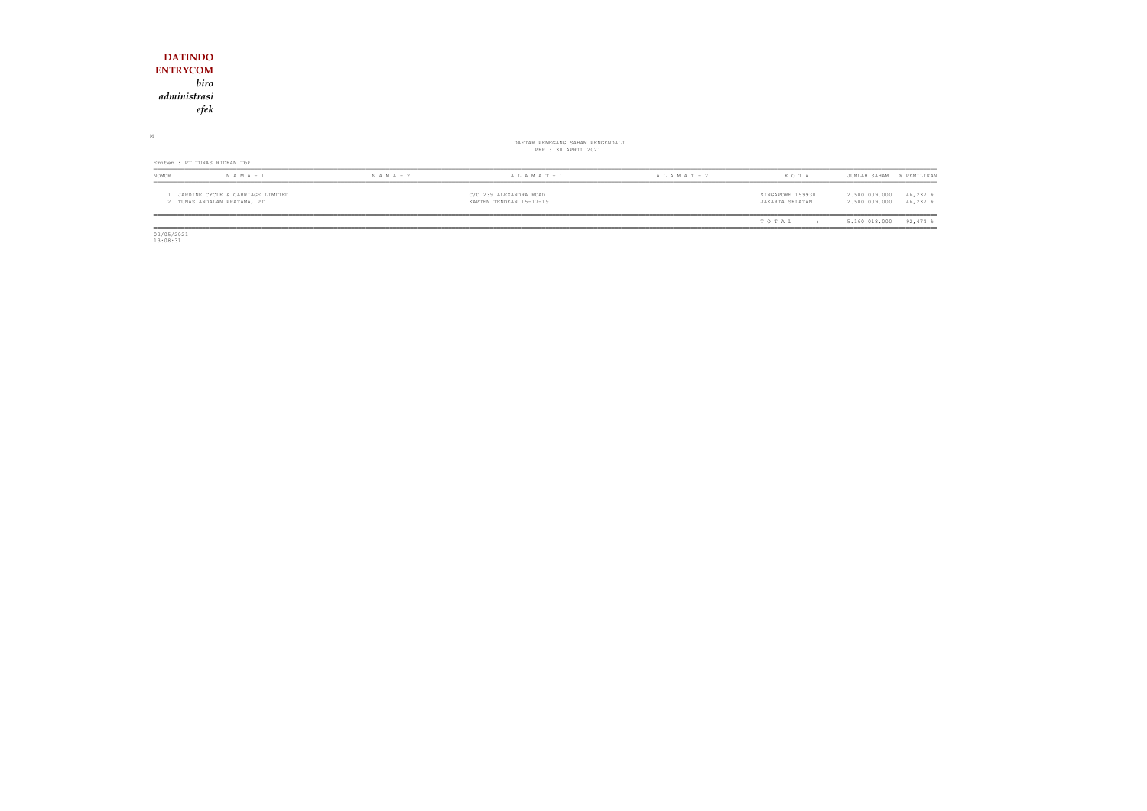| <b>DATINDO</b>                                                  |               |                                                         |                 |                                     |                                                           |
|-----------------------------------------------------------------|---------------|---------------------------------------------------------|-----------------|-------------------------------------|-----------------------------------------------------------|
| <b>ENTRYCOM</b>                                                 |               |                                                         |                 |                                     |                                                           |
| biro                                                            |               |                                                         |                 |                                     |                                                           |
| administrasi                                                    |               |                                                         |                 |                                     |                                                           |
| efek                                                            |               |                                                         |                 |                                     |                                                           |
|                                                                 |               |                                                         |                 |                                     |                                                           |
| М                                                               |               | DAFTAR PEMEGANG SAHAM PENGENDALI<br>PER : 30 APRIL 2021 |                 |                                     |                                                           |
| Emiten : PT TUNAS RIDEAN Tbk                                    |               |                                                         |                 |                                     |                                                           |
| $N A M A - 1$<br>NOMOR                                          | $N A M A - 2$ | $A L A M A T - 1$                                       | A L A M A T - 2 | KOTA                                | JUMLAH SAHAM<br>% PEMILIKAN                               |
| JARDINE CYCLE & CARRIAGE LIMITED<br>2 TUNAS ANDALAN PRATAMA, PT |               | C/O 239 ALEXANDRA ROAD<br>KAPTEN TENDEAN 15-17-19       |                 | SINGAPORE 159930<br>JAKARTA SELATAN | 2.580.009.000<br>46,237 %<br>2.580.009.000<br>$46,237$ \$ |
|                                                                 |               |                                                         |                 | TOTAL<br>$\cdot$ :                  | $92,474$ %<br>5.160.018.000                               |

 $\begin{array}{c} 02/05/2021 \\ 13:08:31 \end{array}$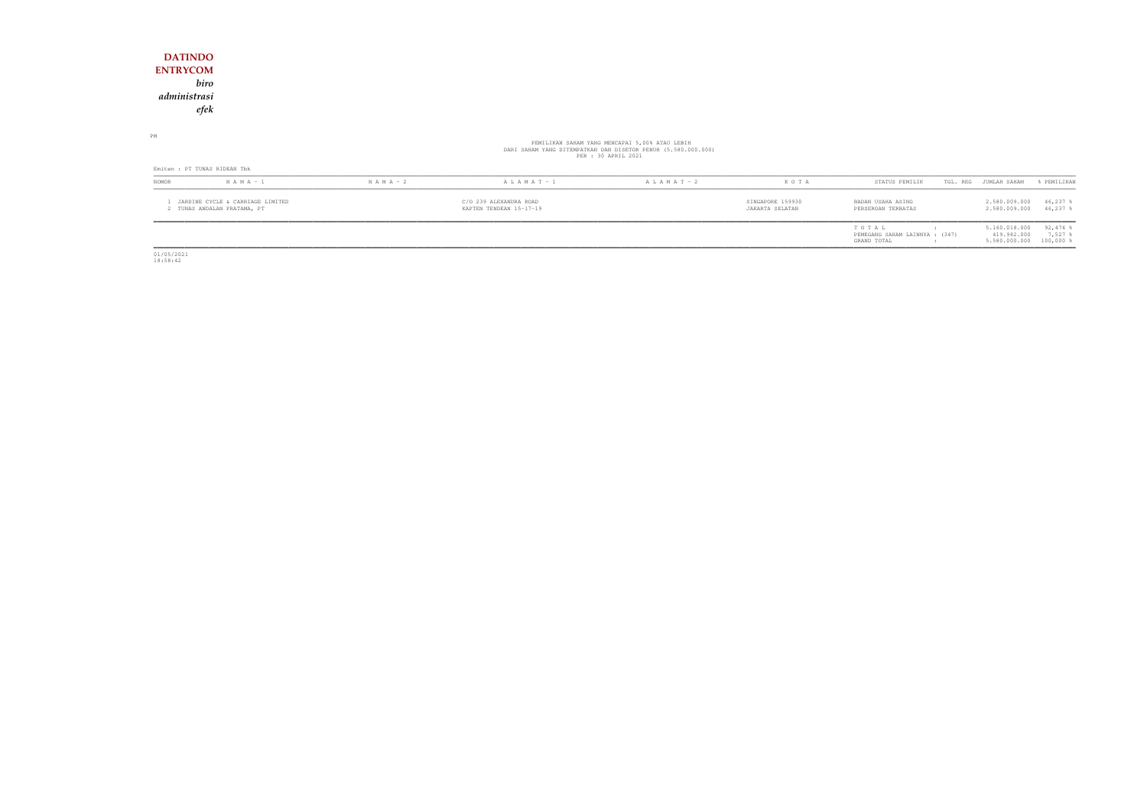## **DATINDO ENTRYCOM** *biro administrasiefek*

PM

# PEMILIKAN SAHAM YANG MENCAPAI 5,00% ATAU LEBIH<br>DARI SAHAM YANG DITEMPATKAN DAN DISETOR PENUH (5.580.000.000)<br>PER : 30 APRIL 2021

| Emiten : PT TUNAS RIDEAN Tbk                                  |               |                                                   |                   |                   |                                     |                                                        |                                                         |                     |  |
|---------------------------------------------------------------|---------------|---------------------------------------------------|-------------------|-------------------|-------------------------------------|--------------------------------------------------------|---------------------------------------------------------|---------------------|--|
| <b>NOMOR</b>                                                  | $N A M A - 1$ | $N A M A - 2$                                     | $A L A M A T - 1$ | $A L A M A T - 2$ | K O T A                             | STATUS PEMILIK                                         | TGL. REG<br>JUMLAH SAHAM                                | FEMILIKAN           |  |
| JARDINE CYCLE & CARRIAGE LIMITED<br>TUNAS ANDALAN PRATAMA, PT |               | C/O 239 ALEXANDRA ROAD<br>KAPTEN TENDEAN 15-17-19 |                   |                   | SINGAPORE 159930<br>JAKARTA SELATAN | BADAN USAHA ASING<br>PERSEROAN TERBATAS                | 2.580.009.000<br>2.580.009.000                          | 46,237<br>46,237    |  |
|                                                               |               |                                                   |                   |                   |                                     | TOTAL<br>PEMEGANG SAHAM LAINNYA : (347)<br>GRAND TOTAL | 5.160.018.000<br>419.982.000<br>5.580.000.000 100,000 % | $92,474$ %<br>7,527 |  |

01/05/2021 18:58:42